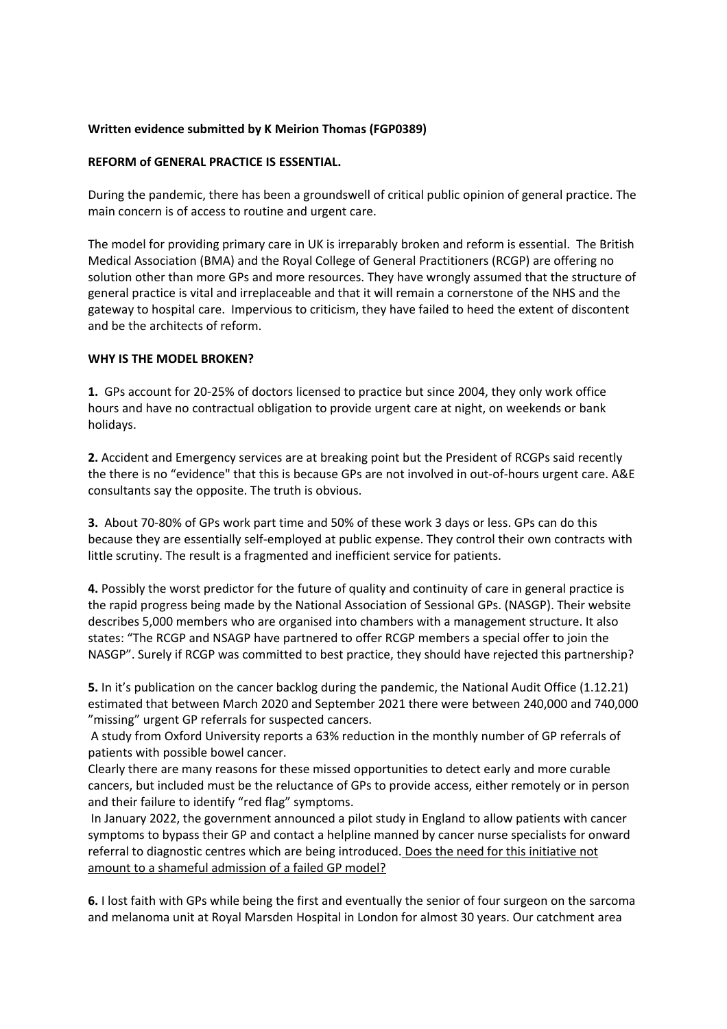## **Written evidence submitted by K Meirion Thomas (FGP0389)**

### **REFORM of GENERAL PRACTICE IS ESSENTIAL.**

During the pandemic, there has been a groundswell of critical public opinion of general practice. The main concern is of access to routine and urgent care.

The model for providing primary care in UK is irreparably broken and reform is essential. The British Medical Association (BMA) and the Royal College of General Practitioners (RCGP) are offering no solution other than more GPs and more resources. They have wrongly assumed that the structure of general practice is vital and irreplaceable and that it will remain a cornerstone of the NHS and the gateway to hospital care. Impervious to criticism, they have failed to heed the extent of discontent and be the architects of reform.

#### **WHY IS THE MODEL BROKEN?**

**1.** GPs account for 20-25% of doctors licensed to practice but since 2004, they only work office hours and have no contractual obligation to provide urgent care at night, on weekends or bank holidays.

**2.** Accident and Emergency services are at breaking point but the President of RCGPs said recently the there is no "evidence" that this is because GPs are not involved in out-of-hours urgent care. A&E consultants say the opposite. The truth is obvious.

**3.** About 70-80% of GPs work part time and 50% of these work 3 days or less. GPs can do this because they are essentially self-employed at public expense. They control their own contracts with little scrutiny. The result is a fragmented and inefficient service for patients.

**4.** Possibly the worst predictor for the future of quality and continuity of care in general practice is the rapid progress being made by the National Association of Sessional GPs. (NASGP). Their website describes 5,000 members who are organised into chambers with a management structure. It also states: "The RCGP and NSAGP have partnered to offer RCGP members a special offer to join the NASGP". Surely if RCGP was committed to best practice, they should have rejected this partnership?

**5.** In it's publication on the cancer backlog during the pandemic, the National Audit Office (1.12.21) estimated that between March 2020 and September 2021 there were between 240,000 and 740,000 "missing" urgent GP referrals for suspected cancers.

A study from Oxford University reports a 63% reduction in the monthly number of GP referrals of patients with possible bowel cancer.

Clearly there are many reasons for these missed opportunities to detect early and more curable cancers, but included must be the reluctance of GPs to provide access, either remotely or in person and their failure to identify "red flag" symptoms.

In January 2022, the government announced a pilot study in England to allow patients with cancer symptoms to bypass their GP and contact a helpline manned by cancer nurse specialists for onward referral to diagnostic centres which are being introduced. Does the need for this initiative not amount to a shameful admission of a failed GP model?

**6.** I lost faith with GPs while being the first and eventually the senior of four surgeon on the sarcoma and melanoma unit at Royal Marsden Hospital in London for almost 30 years. Our catchment area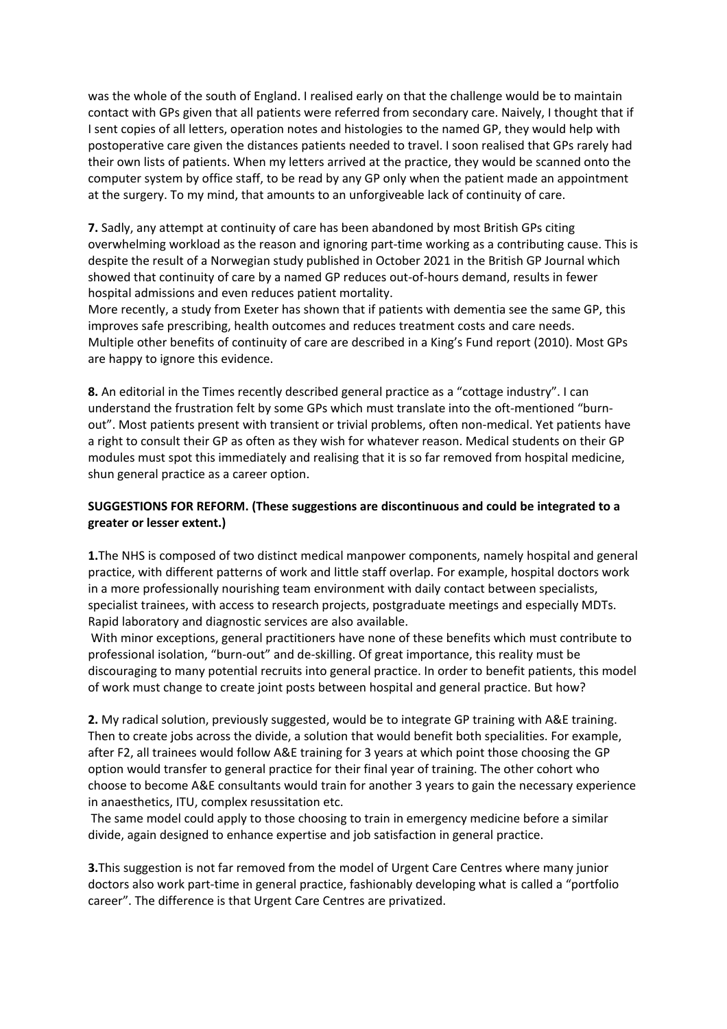was the whole of the south of England. I realised early on that the challenge would be to maintain contact with GPs given that all patients were referred from secondary care. Naively, I thought that if I sent copies of all letters, operation notes and histologies to the named GP, they would help with postoperative care given the distances patients needed to travel. I soon realised that GPs rarely had their own lists of patients. When my letters arrived at the practice, they would be scanned onto the computer system by office staff, to be read by any GP only when the patient made an appointment at the surgery. To my mind, that amounts to an unforgiveable lack of continuity of care.

**7.** Sadly, any attempt at continuity of care has been abandoned by most British GPs citing overwhelming workload as the reason and ignoring part-time working as a contributing cause. This is despite the result of a Norwegian study published in October 2021 in the British GP Journal which showed that continuity of care by a named GP reduces out-of-hours demand, results in fewer hospital admissions and even reduces patient mortality.

More recently, a study from Exeter has shown that if patients with dementia see the same GP, this improves safe prescribing, health outcomes and reduces treatment costs and care needs. Multiple other benefits of continuity of care are described in a King's Fund report (2010). Most GPs are happy to ignore this evidence.

**8.** An editorial in the Times recently described general practice as a "cottage industry". I can understand the frustration felt by some GPs which must translate into the oft-mentioned "burnout". Most patients present with transient or trivial problems, often non-medical. Yet patients have a right to consult their GP as often as they wish for whatever reason. Medical students on their GP modules must spot this immediately and realising that it is so far removed from hospital medicine, shun general practice as a career option.

# **SUGGESTIONS FOR REFORM. (These suggestions are discontinuous and could be integrated to a greater or lesser extent.)**

**1.**The NHS is composed of two distinct medical manpower components, namely hospital and general practice, with different patterns of work and little staff overlap. For example, hospital doctors work in a more professionally nourishing team environment with daily contact between specialists, specialist trainees, with access to research projects, postgraduate meetings and especially MDTs. Rapid laboratory and diagnostic services are also available.

With minor exceptions, general practitioners have none of these benefits which must contribute to professional isolation, "burn-out" and de-skilling. Of great importance, this reality must be discouraging to many potential recruits into general practice. In order to benefit patients, this model of work must change to create joint posts between hospital and general practice. But how?

**2.** My radical solution, previously suggested, would be to integrate GP training with A&E training. Then to create jobs across the divide, a solution that would benefit both specialities. For example, after F2, all trainees would follow A&E training for 3 years at which point those choosing the GP option would transfer to general practice for their final year of training. The other cohort who choose to become A&E consultants would train for another 3 years to gain the necessary experience in anaesthetics, ITU, complex resussitation etc.

The same model could apply to those choosing to train in emergency medicine before a similar divide, again designed to enhance expertise and job satisfaction in general practice.

**3.**This suggestion is not far removed from the model of Urgent Care Centres where many junior doctors also work part-time in general practice, fashionably developing what is called a "portfolio career". The difference is that Urgent Care Centres are privatized.